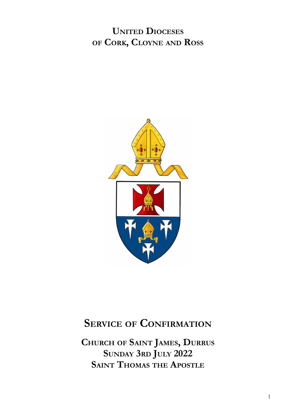**UNITED DIOCESES OF CORK, CLOYNE AND ROSS**



# **SERVICE OF CONFIRMATION**

**CHURCH OF SAINT JAMES, DURRUS SUNDAY 3RD JULY 2022 SAINT THOMAS THE APOSTLE**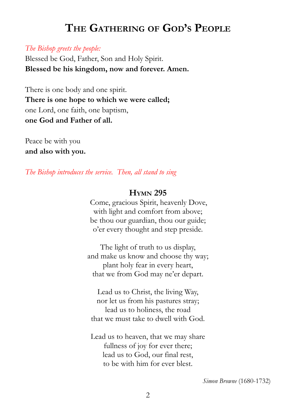# **THE GATHERING OF GOD'<sup>S</sup> PEOPLE**

#### *The Bishop greets the people:*

Blessed be God, Father, Son and Holy Spirit. **Blessed be his kingdom, now and forever. Amen.**

There is one body and one spirit. **There is one hope to which we were called;** one Lord, one faith, one baptism, **one God and Father of all.**

Peace be with you **and also with you.**

*The Bishop introduces the service. Then, all stand to sing*

#### **HYMN 295**

Come, gracious Spirit, heavenly Dove, with light and comfort from above; be thou our guardian, thou our guide; o'er every thought and step preside.

The light of truth to us display, and make us know and choose thy way; plant holy fear in every heart, that we from God may ne'er depart.

Lead us to Christ, the living Way, nor let us from his pastures stray; lead us to holiness, the road that we must take to dwell with God.

Lead us to heaven, that we may share fullness of joy for ever there; lead us to God, our final rest, to be with him for ever blest.

*Simon Browne* (1680-1732)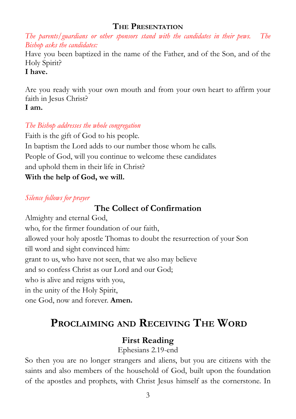#### **THE PRESENTATION**

*The parents/guardians or other sponsors stand with the candidates in their pews. The Bishop asks the candidates:*

Have you been baptized in the name of the Father, and of the Son, and of the Holy Spirit?

#### **I have.**

Are you ready with your own mouth and from your own heart to affirm your faith in Jesus Christ? **I am.**

### *The Bishop addresses the whole congregation*

Faith is the gift of God to his people. In baptism the Lord adds to our number those whom he calls. People of God, will you continue to welcome these candidates and uphold them in their life in Christ? **With the help of God, we will.**

### *Silence follows for prayer*

# **The Collect of Confirmation**

Almighty and eternal God, who, for the firmer foundation of our faith, allowed your holy apostle Thomas to doubt the resurrection of your Son till word and sight convinced him: grant to us, who have not seen, that we also may believe and so confess Christ as our Lord and our God; who is alive and reigns with you, in the unity of the Holy Spirit, one God, now and forever. **Amen.**

# **PROCLAIMING AND RECEIVING THE WORD**

# **First Reading**

Ephesians 2.19-end

So then you are no longer strangers and aliens, but you are citizens with the saints and also members of the household of God, built upon the foundation of the apostles and prophets, with Christ Jesus himself as the cornerstone. In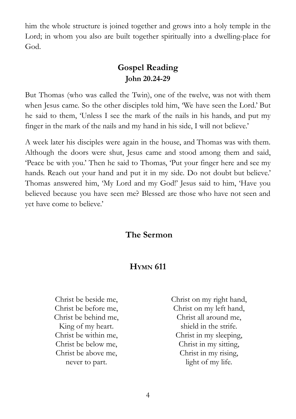him the whole structure is joined together and grows into a holy temple in the Lord; in whom you also are built together spiritually into a dwelling-place for God.

## **Gospel Reading John 20.24-29**

But Thomas (who was called the Twin), one of the twelve, was not with them when Jesus came. So the other disciples told him, 'We have seen the Lord.' But he said to them, 'Unless I see the mark of the nails in his hands, and put my finger in the mark of the nails and my hand in his side, I will not believe.'

A week later his disciples were again in the house, and Thomas was with them. Although the doors were shut, Jesus came and stood among them and said, 'Peace be with you.' Then he said to Thomas, 'Put your finger here and see my hands. Reach out your hand and put it in my side. Do not doubt but believe.' Thomas answered him, 'My Lord and my God!' Jesus said to him, 'Have you believed because you have seen me? Blessed are those who have not seen and yet have come to believe.'

## **The Sermon**

## **HYMN 611**

Christ be beside me, Christ be before me, Christ be behind me, King of my heart. Christ be within me, Christ be below me, Christ be above me, never to part.

Christ on my right hand, Christ on my left hand, Christ all around me, shield in the strife. Christ in my sleeping, Christ in my sitting, Christ in my rising, light of my life.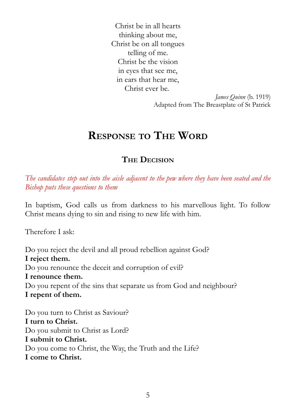Christ be in all hearts thinking about me, Christ be on all tongues telling of me. Christ be the vision in eyes that see me, in ears that hear me, Christ ever be.

> *James Quinn* (b. 1919) Adapted from The Breastplate of St Patrick

# **RESPONSE TO THE WORD**

## **THE DECISION**

*The candidates step out into the aisle adjacent to the pew where they have been seated and the Bishop puts these questions to them*

In baptism, God calls us from darkness to his marvellous light. To follow Christ means dying to sin and rising to new life with him.

Therefore I ask:

Do you reject the devil and all proud rebellion against God? **I reject them.** Do you renounce the deceit and corruption of evil? **I renounce them.** Do you repent of the sins that separate us from God and neighbour? **I repent of them.**

Do you turn to Christ as Saviour? **I turn to Christ.** Do you submit to Christ as Lord? **I submit to Christ.** Do you come to Christ, the Way, the Truth and the Life? **I come to Christ.**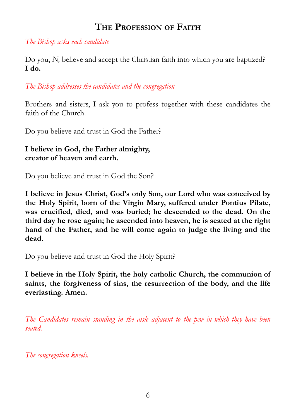## **THE PROFESSION OF FAITH**

*The Bishop asks each candidate*

Do you, *N,* believe and accept the Christian faith into which you are baptized? **I do.**

*The Bishop addresses the candidates and the congregation*

Brothers and sisters, I ask you to profess together with these candidates the faith of the Church.

Do you believe and trust in God the Father?

**I believe in God, the Father almighty, creator of heaven and earth.**

Do you believe and trust in God the Son?

**I believe in Jesus Christ, God's only Son, our Lord who was conceived by the Holy Spirit, born of the Virgin Mary, suffered under Pontius Pilate, was crucified, died, and was buried; he descended to the dead. On the third day he rose again; he ascended into heaven, he is seated at the right hand of the Father, and he will come again to judge the living and the dead.**

Do you believe and trust in God the Holy Spirit?

**I believe in the Holy Spirit, the holy catholic Church, the communion of saints, the forgiveness of sins, the resurrection of the body, and the life everlasting. Amen.**

*The Candidates remain standing in the aisle adjacent to the pew in which they have been seated.*

*The congregation kneels.*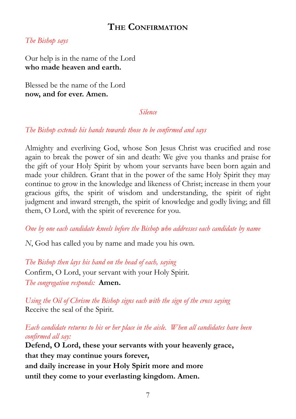### **THE CONFIRMATION**

#### *The Bishop says*

Our help is in the name of the Lord **who made heaven and earth.**

Blessed be the name of the Lord **now, and for ever. Amen.**

#### *Silence*

#### *The Bishop extends his hands towards those to be confirmed and says*

Almighty and everliving God, whose Son Jesus Christ was crucified and rose again to break the power of sin and death: We give you thanks and praise for the gift of your Holy Spirit by whom your servants have been born again and made your children. Grant that in the power of the same Holy Spirit they may continue to grow in the knowledge and likeness of Christ; increase in them your gracious gifts, the spirit of wisdom and understanding, the spirit of right judgment and inward strength, the spirit of knowledge and godly living; and fill them, O Lord, with the spirit of reverence for you.

*One by one each candidate kneels before the Bishop who addresses each candidate by name*

*N*, God has called you by name and made you his own.

*The Bishop then lays his hand on the head of each, saying* Confirm, O Lord, your servant with your Holy Spirit. *The congregation responds:* **Amen.**

*Using the Oil of Chrism the Bishop signs each with the sign of the cross saying* Receive the seal of the Spirit.

*Each candidate returns to his or her place in the aisle. When all candidates have been confirmed all say:*

**Defend, O Lord, these your servants with your heavenly grace, that they may continue yours forever, and daily increase in your Holy Spirit more and more until they come to your everlasting kingdom. Amen.**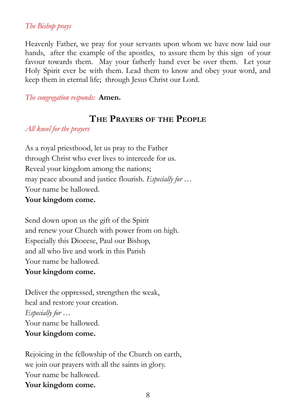#### *The Bishop prays*

Heavenly Father, we pray for your servants upon whom we have now laid our hands, after the example of the apostles, to assure them by this sign of your favour towards them. May your fatherly hand ever be over them. Let your Holy Spirit ever be with them. Lead them to know and obey your word, and keep them in eternal life; through Jesus Christ our Lord.

*The congregation responds:* **Amen.**

### **THE PRAYERS OF THE PEOPLE**

*All kneel for the prayers*

As a royal priesthood, let us pray to the Father through Christ who ever lives to intercede for us. Reveal your kingdom among the nations; may peace abound and justice flourish. *Especially for …* Your name be hallowed.

#### **Your kingdom come.**

Send down upon us the gift of the Spirit and renew your Church with power from on high. Especially this Diocese, Paul our Bishop, and all who live and work in this Parish Your name be hallowed. **Your kingdom come.**

Deliver the oppressed, strengthen the weak, heal and restore your creation. *Especially for …* Your name be hallowed. **Your kingdom come.**

Rejoicing in the fellowship of the Church on earth, we join our prayers with all the saints in glory. Your name be hallowed. **Your kingdom come.**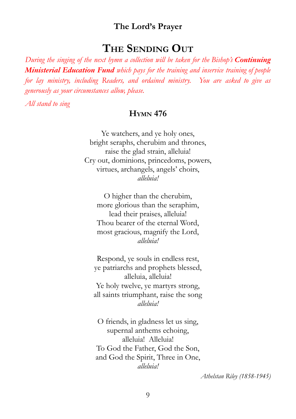#### **The Lord's Prayer**

# **THE SENDING OUT**

*During the singing of the next hymn a collection will be taken for the Bishop's Continuing Ministerial Education Fund which pays for the training and inservice training of people for lay ministry, including Readers, and ordained ministry. You are asked to give as generously as your circumstances allow, please.*

*All stand to sing*

#### **HYMN 476**

Ye watchers, and ye holy ones, bright seraphs, cherubim and thrones, raise the glad strain, alleluia! Cry out, dominions, princedoms, powers, virtues, archangels, angels' choirs, *alleluia!*

O higher than the cherubim, more glorious than the seraphim, lead their praises, alleluia! Thou bearer of the eternal Word, most gracious, magnify the Lord, *alleluia!*

Respond, ye souls in endless rest, ye patriarchs and prophets blessed, alleluia, alleluia! Ye holy twelve, ye martyrs strong, all saints triumphant, raise the song *alleluia!*

O friends, in gladness let us sing, supernal anthems echoing, alleluia! Alleluia! To God the Father, God the Son, and God the Spirit, Three in One, *alleluia!*

*Athelstan Riley (1858-1945)*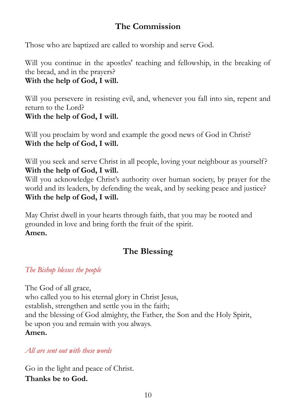# **The Commission**

Those who are baptized are called to worship and serve God.

Will you continue in the apostles' teaching and fellowship, in the breaking of the bread, and in the prayers?

**With the help of God, I will.**

Will you persevere in resisting evil, and, whenever you fall into sin, repent and return to the Lord? **With the help of God, I will.**

Will you proclaim by word and example the good news of God in Christ? **With the help of God, I will.**

Will you seek and serve Christ in all people, loving your neighbour as yourself? **With the help of God, I will.**

Will you acknowledge Christ's authority over human society, by prayer for the world and its leaders, by defending the weak, and by seeking peace and justice? **With the help of God, I will.**

May Christ dwell in your hearts through faith, that you may be rooted and grounded in love and bring forth the fruit of the spirit. **Amen.**

# **The Blessing**

*The Bishop blesses the people*

The God of all grace, who called you to his eternal glory in Christ Jesus, establish, strengthen and settle you in the faith; and the blessing of God almighty, the Father, the Son and the Holy Spirit, be upon you and remain with you always. **Amen.**

*All are sent out with these words*

Go in the light and peace of Christ. **Thanks be to God.**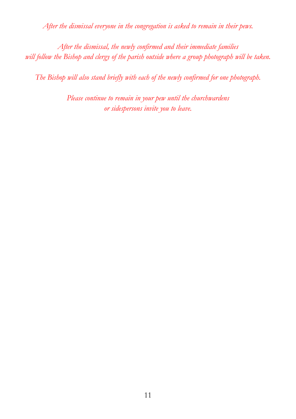*After the dismissal everyone in the congregation is asked to remain in their pews.*

*After the dismissal, the newly confirmed and their immediate families will follow the Bishop and clergy of the parish outside where a group photograph will be taken.*

*The Bishop will also stand briefly with each of the newly confirmed for one photograph.*

*Please continue to remain in your pew until the churchwardens or sidespersons invite you to leave.*